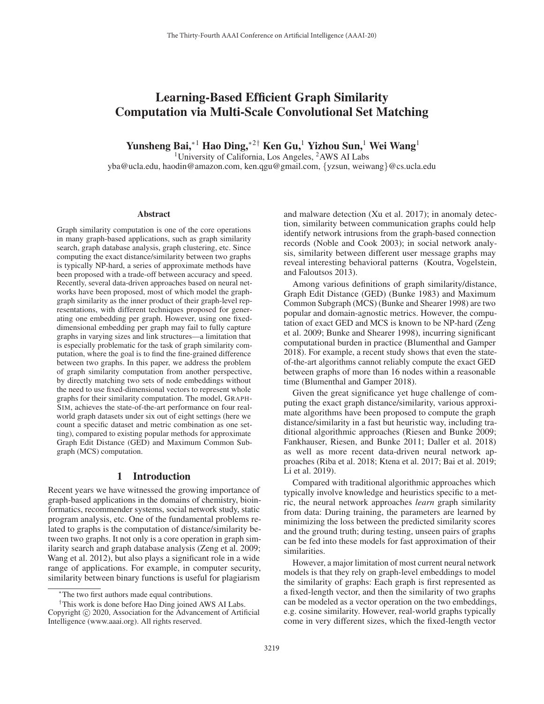# Learning-Based Efficient Graph Similarity Computation via Multi-Scale Convolutional Set Matching

Yunsheng Bai,<sup>∗1</sup> Hao Ding,<sup>∗2†</sup> Ken Gu,<sup>1</sup> Yizhou Sun,<sup>1</sup> Wei Wang<sup>1</sup>

<sup>1</sup>University of California, Los Angeles,  $<sup>2</sup>$ AWS AI Labs</sup>

yba@ucla.edu, haodin@amazon.com, ken.qgu@gmail.com, {yzsun, weiwang}@cs.ucla.edu

#### Abstract

Graph similarity computation is one of the core operations in many graph-based applications, such as graph similarity search, graph database analysis, graph clustering, etc. Since computing the exact distance/similarity between two graphs is typically NP-hard, a series of approximate methods have been proposed with a trade-off between accuracy and speed. Recently, several data-driven approaches based on neural networks have been proposed, most of which model the graphgraph similarity as the inner product of their graph-level representations, with different techniques proposed for generating one embedding per graph. However, using one fixeddimensional embedding per graph may fail to fully capture graphs in varying sizes and link structures—a limitation that is especially problematic for the task of graph similarity computation, where the goal is to find the fine-grained difference between two graphs. In this paper, we address the problem of graph similarity computation from another perspective, by directly matching two sets of node embeddings without the need to use fixed-dimensional vectors to represent whole graphs for their similarity computation. The model, GRAPH-SIM, achieves the state-of-the-art performance on four realworld graph datasets under six out of eight settings (here we count a specific dataset and metric combination as one setting), compared to existing popular methods for approximate Graph Edit Distance (GED) and Maximum Common Subgraph (MCS) computation.

### 1 Introduction

Recent years we have witnessed the growing importance of graph-based applications in the domains of chemistry, bioinformatics, recommender systems, social network study, static program analysis, etc. One of the fundamental problems related to graphs is the computation of distance/similarity between two graphs. It not only is a core operation in graph similarity search and graph database analysis (Zeng et al. 2009; Wang et al. 2012), but also plays a significant role in a wide range of applications. For example, in computer security, similarity between binary functions is useful for plagiarism

and malware detection (Xu et al. 2017); in anomaly detection, similarity between communication graphs could help identify network intrusions from the graph-based connection records (Noble and Cook 2003); in social network analysis, similarity between different user message graphs may reveal interesting behavioral patterns (Koutra, Vogelstein, and Faloutsos 2013).

Among various definitions of graph similarity/distance, Graph Edit Distance (GED) (Bunke 1983) and Maximum Common Subgraph (MCS) (Bunke and Shearer 1998) are two popular and domain-agnostic metrics. However, the computation of exact GED and MCS is known to be NP-hard (Zeng et al. 2009; Bunke and Shearer 1998), incurring significant computational burden in practice (Blumenthal and Gamper 2018). For example, a recent study shows that even the stateof-the-art algorithms cannot reliably compute the exact GED between graphs of more than 16 nodes within a reasonable time (Blumenthal and Gamper 2018).

Given the great significance yet huge challenge of computing the exact graph distance/similarity, various approximate algorithms have been proposed to compute the graph distance/similarity in a fast but heuristic way, including traditional algorithmic approaches (Riesen and Bunke 2009; Fankhauser, Riesen, and Bunke 2011; Daller et al. 2018) as well as more recent data-driven neural network approaches (Riba et al. 2018; Ktena et al. 2017; Bai et al. 2019; Li et al. 2019).

Compared with traditional algorithmic approaches which typically involve knowledge and heuristics specific to a metric, the neural network approaches *learn* graph similarity from data: During training, the parameters are learned by minimizing the loss between the predicted similarity scores and the ground truth; during testing, unseen pairs of graphs can be fed into these models for fast approximation of their similarities.

However, a major limitation of most current neural network models is that they rely on graph-level embeddings to model the similarity of graphs: Each graph is first represented as a fixed-length vector, and then the similarity of two graphs can be modeled as a vector operation on the two embeddings, e.g. cosine similarity. However, real-world graphs typically come in very different sizes, which the fixed-length vector

<sup>∗</sup>The two first authors made equal contributions.

<sup>†</sup>This work is done before Hao Ding joined AWS AI Labs. Copyright  $\odot$  2020, Association for the Advancement of Artificial Intelligence (www.aaai.org). All rights reserved.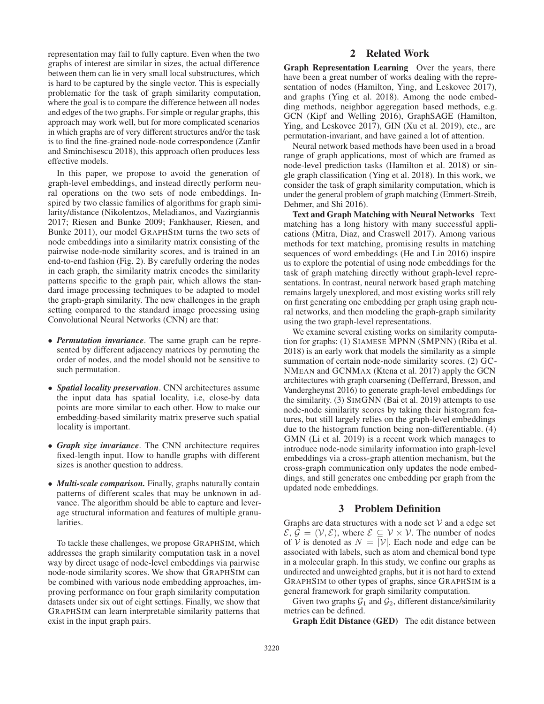representation may fail to fully capture. Even when the two graphs of interest are similar in sizes, the actual difference between them can lie in very small local substructures, which is hard to be captured by the single vector. This is especially problematic for the task of graph similarity computation, where the goal is to compare the difference between all nodes and edges of the two graphs. For simple or regular graphs, this approach may work well, but for more complicated scenarios in which graphs are of very different structures and/or the task is to find the fine-grained node-node correspondence (Zanfir and Sminchisescu 2018), this approach often produces less effective models.

In this paper, we propose to avoid the generation of graph-level embeddings, and instead directly perform neural operations on the two sets of node embeddings. Inspired by two classic families of algorithms for graph similarity/distance (Nikolentzos, Meladianos, and Vazirgiannis 2017; Riesen and Bunke 2009; Fankhauser, Riesen, and Bunke 2011), our model GRAPHSIM turns the two sets of node embeddings into a similarity matrix consisting of the pairwise node-node similarity scores, and is trained in an end-to-end fashion (Fig. 2). By carefully ordering the nodes in each graph, the similarity matrix encodes the similarity patterns specific to the graph pair, which allows the standard image processing techniques to be adapted to model the graph-graph similarity. The new challenges in the graph setting compared to the standard image processing using Convolutional Neural Networks (CNN) are that:

- *Permutation invariance*. The same graph can be represented by different adjacency matrices by permuting the order of nodes, and the model should not be sensitive to such permutation.
- *Spatial locality preservation*. CNN architectures assume the input data has spatial locality, i.e, close-by data points are more similar to each other. How to make our embedding-based similarity matrix preserve such spatial locality is important.
- *Graph size invariance*. The CNN architecture requires fixed-length input. How to handle graphs with different sizes is another question to address.
- *Multi-scale comparison.* Finally, graphs naturally contain patterns of different scales that may be unknown in advance. The algorithm should be able to capture and leverage structural information and features of multiple granularities.

To tackle these challenges, we propose GRAPHSIM, which addresses the graph similarity computation task in a novel way by direct usage of node-level embeddings via pairwise node-node similarity scores. We show that GRAPHSIM can be combined with various node embedding approaches, improving performance on four graph similarity computation datasets under six out of eight settings. Finally, we show that GRAPHSIM can learn interpretable similarity patterns that exist in the input graph pairs.

# 2 Related Work

Graph Representation Learning Over the years, there have been a great number of works dealing with the representation of nodes (Hamilton, Ying, and Leskovec 2017), and graphs (Ying et al. 2018). Among the node embedding methods, neighbor aggregation based methods, e.g. GCN (Kipf and Welling 2016), GraphSAGE (Hamilton, Ying, and Leskovec 2017), GIN (Xu et al. 2019), etc., are permutation-invariant, and have gained a lot of attention.

Neural network based methods have been used in a broad range of graph applications, most of which are framed as node-level prediction tasks (Hamilton et al. 2018) or single graph classification (Ying et al. 2018). In this work, we consider the task of graph similarity computation, which is under the general problem of graph matching (Emmert-Streib, Dehmer, and Shi 2016).

Text and Graph Matching with Neural Networks Text matching has a long history with many successful applications (Mitra, Diaz, and Craswell 2017). Among various methods for text matching, promising results in matching sequences of word embeddings (He and Lin 2016) inspire us to explore the potential of using node embeddings for the task of graph matching directly without graph-level representations. In contrast, neural network based graph matching remains largely unexplored, and most existing works still rely on first generating one embedding per graph using graph neural networks, and then modeling the graph-graph similarity using the two graph-level representations.

We examine several existing works on similarity computation for graphs: (1) SIAMESE MPNN (SMPNN) (Riba et al. 2018) is an early work that models the similarity as a simple summation of certain node-node similarity scores. (2) GC-NMEAN and GCNMAX (Ktena et al. 2017) apply the GCN architectures with graph coarsening (Defferrard, Bresson, and Vandergheynst 2016) to generate graph-level embeddings for the similarity. (3) SIMGNN (Bai et al. 2019) attempts to use node-node similarity scores by taking their histogram features, but still largely relies on the graph-level embeddings due to the histogram function being non-differentiable. (4) GMN (Li et al. 2019) is a recent work which manages to introduce node-node similarity information into graph-level embeddings via a cross-graph attention mechanism, but the cross-graph communication only updates the node embeddings, and still generates one embedding per graph from the updated node embeddings.

## 3 Problem Definition

Graphs are data structures with a node set  $V$  and a edge set  $\mathcal{E}, \mathcal{G} = (\mathcal{V}, \mathcal{E})$ , where  $\mathcal{E} \subseteq \mathcal{V} \times \mathcal{V}$ . The number of nodes of V is denoted as  $N = |\mathcal{V}|$ . Each node and edge can be associated with labels, such as atom and chemical bond type in a molecular graph. In this study, we confine our graphs as undirected and unweighted graphs, but it is not hard to extend GRAPHSIM to other types of graphs, since GRAPHSIM is a general framework for graph similarity computation.

Given two graphs  $G_1$  and  $G_2$ , different distance/similarity metrics can be defined.

Graph Edit Distance (GED) The edit distance between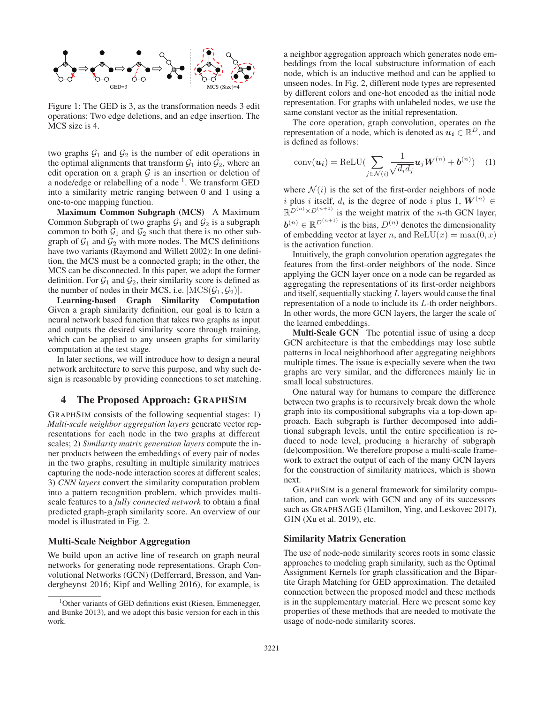

Figure 1: The GED is 3, as the transformation needs 3 edit operations: Two edge deletions, and an edge insertion. The MCS size is 4.

two graphs  $G_1$  and  $G_2$  is the number of edit operations in the optimal alignments that transform  $\mathcal{G}_1$  into  $\mathcal{G}_2$ , where an edit operation on a graph  $G$  is an insertion or deletion of a node/edge or relabelling of a node<sup>1</sup>. We transform GED into a similarity metric ranging between 0 and 1 using a one-to-one mapping function.

Maximum Common Subgraph (MCS) A Maximum Common Subgraph of two graphs  $G_1$  and  $G_2$  is a subgraph common to both  $\mathcal{G}_1$  and  $\mathcal{G}_2$  such that there is no other subgraph of  $\mathcal{G}_1$  and  $\mathcal{G}_2$  with more nodes. The MCS definitions have two variants (Raymond and Willett 2002): In one definition, the MCS must be a connected graph; in the other, the MCS can be disconnected. In this paper, we adopt the former definition. For  $G_1$  and  $G_2$ , their similarity score is defined as the number of nodes in their MCS, i.e.  $|MCS(\mathcal{G}_1, \mathcal{G}_2)|$ .

Learning-based Graph Similarity Computation Given a graph similarity definition, our goal is to learn a neural network based function that takes two graphs as input and outputs the desired similarity score through training, which can be applied to any unseen graphs for similarity computation at the test stage.

In later sections, we will introduce how to design a neural network architecture to serve this purpose, and why such design is reasonable by providing connections to set matching.

### 4 The Proposed Approach: GRAPHSIM

GRAPHSIM consists of the following sequential stages: 1) *Multi-scale neighbor aggregation layers* generate vector representations for each node in the two graphs at different scales; 2) *Similarity matrix generation layers* compute the inner products between the embeddings of every pair of nodes in the two graphs, resulting in multiple similarity matrices capturing the node-node interaction scores at different scales; 3) *CNN layers* convert the similarity computation problem into a pattern recognition problem, which provides multiscale features to a *fully connected network* to obtain a final predicted graph-graph similarity score. An overview of our model is illustrated in Fig. 2.

#### Multi-Scale Neighbor Aggregation

We build upon an active line of research on graph neural networks for generating node representations. Graph Convolutional Networks (GCN) (Defferrard, Bresson, and Vandergheynst 2016; Kipf and Welling 2016), for example, is

a neighbor aggregation approach which generates node embeddings from the local substructure information of each node, which is an inductive method and can be applied to unseen nodes. In Fig. 2, different node types are represented by different colors and one-hot encoded as the initial node representation. For graphs with unlabeled nodes, we use the same constant vector as the initial representation.

The core operation, graph convolution, operates on the representation of a node, which is denoted as  $u_i \in \mathbb{R}^D$ , and is defined as follows:

$$
conv(\boldsymbol{u_i}) = \text{ReLU}(\sum_{j \in \mathcal{N}(i)} \frac{1}{\sqrt{d_i d_j}} \boldsymbol{u}_j \boldsymbol{W}^{(n)} + \boldsymbol{b}^{(n)}) \quad (1)
$$

where  $\mathcal{N}(i)$  is the set of the first-order neighbors of node i plus i itself,  $d_i$  is the degree of node i plus 1,  $W^{(n)} \in$  $\mathbb{R}^{D^{(n)} \times D^{(n+1)}}$  is the weight matrix of the *n*-th GCN layer,  $\mathbf{b}^{(n)} \in \mathbb{R}^{D^{(n+1)}}$  is the bias,  $D^{(n)}$  denotes the dimensionality of embedding vector at layer n, and ReLU(x) = max(0, x) is the activation function.

Intuitively, the graph convolution operation aggregates the features from the first-order neighbors of the node. Since applying the GCN layer once on a node can be regarded as aggregating the representations of its first-order neighbors and itself, sequentially stacking  $L$  layers would cause the final representation of a node to include its L-th order neighbors. In other words, the more GCN layers, the larger the scale of the learned embeddings.

Multi-Scale GCN The potential issue of using a deep GCN architecture is that the embeddings may lose subtle patterns in local neighborhood after aggregating neighbors multiple times. The issue is especially severe when the two graphs are very similar, and the differences mainly lie in small local substructures.

One natural way for humans to compare the difference between two graphs is to recursively break down the whole graph into its compositional subgraphs via a top-down approach. Each subgraph is further decomposed into additional subgraph levels, until the entire specification is reduced to node level, producing a hierarchy of subgraph (de)composition. We therefore propose a multi-scale framework to extract the output of each of the many GCN layers for the construction of similarity matrices, which is shown next.

GRAPHSIM is a general framework for similarity computation, and can work with GCN and any of its successors such as GRAPHSAGE (Hamilton, Ying, and Leskovec 2017), GIN (Xu et al. 2019), etc.

#### Similarity Matrix Generation

The use of node-node similarity scores roots in some classic approaches to modeling graph similarity, such as the Optimal Assignment Kernels for graph classification and the Bipartite Graph Matching for GED approximation. The detailed connection between the proposed model and these methods is in the supplementary material. Here we present some key properties of these methods that are needed to motivate the usage of node-node similarity scores.

<sup>&</sup>lt;sup>1</sup>Other variants of GED definitions exist (Riesen, Emmenegger, and Bunke 2013), and we adopt this basic version for each in this work.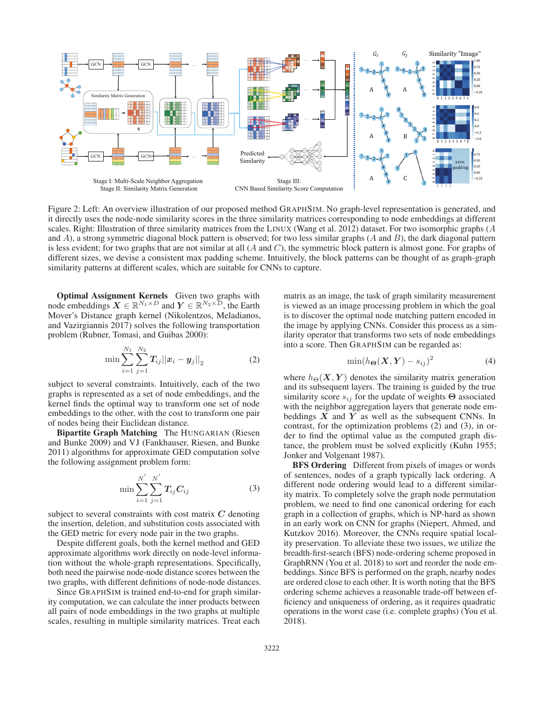

Figure 2: Left: An overview illustration of our proposed method GRAPHSIM. No graph-level representation is generated, and it directly uses the node-node similarity scores in the three similarity matrices corresponding to node embeddings at different scales. Right: Illustration of three similarity matrices from the LINUX (Wang et al. 2012) dataset. For two isomorphic graphs (A and  $A$ ), a strong symmetric diagonal block pattern is observed; for two less similar graphs  $(A \text{ and } B)$ , the dark diagonal pattern is less evident; for two graphs that are not similar at all  $(A \text{ and } C)$ , the symmetric block pattern is almost gone. For graphs of different sizes, we devise a consistent max padding scheme. Intuitively, the block patterns can be thought of as graph-graph similarity patterns at different scales, which are suitable for CNNs to capture.

Optimal Assignment Kernels Given two graphs with node embeddings  $X \in \mathbb{R}^{N_1 \times D}$  and  $Y \in \mathbb{R}^{N_2 \times D}$ , the Earth Mover's Distance graph kernel (Nikolentzos, Meladianos, and Vazirgiannis 2017) solves the following transportation problem (Rubner, Tomasi, and Guibas 2000):

$$
\min \sum_{i=1}^{N_1} \sum_{j=1}^{N_2} \bm{T}_{ij} ||\bm{x}_i - \bm{y}_j||_2 \tag{2}
$$

subject to several constraints. Intuitively, each of the two graphs is represented as a set of node embeddings, and the kernel finds the optimal way to transform one set of node embeddings to the other, with the cost to transform one pair of nodes being their Euclidean distance.

Bipartite Graph Matching The HUNGARIAN (Riesen and Bunke 2009) and VJ (Fankhauser, Riesen, and Bunke 2011) algorithms for approximate GED computation solve the following assignment problem form:

$$
\min \sum_{i=1}^{N'} \sum_{j=1}^{N'} T_{ij} C_{ij} \tag{3}
$$

subject to several constraints with cost matrix *C* denoting the insertion, deletion, and substitution costs associated with the GED metric for every node pair in the two graphs.

Despite different goals, both the kernel method and GED approximate algorithms work directly on node-level information without the whole-graph representations. Specifically, both need the pairwise node-node distance scores between the two graphs, with different definitions of node-node distances.

Since GRAPHSIM is trained end-to-end for graph similarity computation, we can calculate the inner products between all pairs of node embeddings in the two graphs at multiple scales, resulting in multiple similarity matrices. Treat each

matrix as an image, the task of graph similarity measurement is viewed as an image processing problem in which the goal is to discover the optimal node matching pattern encoded in the image by applying CNNs. Consider this process as a similarity operator that transforms two sets of node embeddings into a score. Then GRAPHSIM can be regarded as:

$$
\min(h_{\Theta}(X, Y) - s_{ij})^2 \tag{4}
$$

where  $h_{\Theta}(X, Y)$  denotes the similarity matrix generation and its subsequent layers. The training is guided by the true similarity score  $s_{ij}$  for the update of weights  $\Theta$  associated with the neighbor aggregation layers that generate node embeddings *X* and *Y* as well as the subsequent CNNs. In contrast, for the optimization problems (2) and (3), in order to find the optimal value as the computed graph distance, the problem must be solved explicitly (Kuhn 1955; Jonker and Volgenant 1987).

BFS Ordering Different from pixels of images or words of sentences, nodes of a graph typically lack ordering. A different node ordering would lead to a different similarity matrix. To completely solve the graph node permutation problem, we need to find one canonical ordering for each graph in a collection of graphs, which is NP-hard as shown in an early work on CNN for graphs (Niepert, Ahmed, and Kutzkov 2016). Moreover, the CNNs require spatial locality preservation. To alleviate these two issues, we utilize the breadth-first-search (BFS) node-ordering scheme proposed in GraphRNN (You et al. 2018) to sort and reorder the node embeddings. Since BFS is performed on the graph, nearby nodes are ordered close to each other. It is worth noting that the BFS ordering scheme achieves a reasonable trade-off between efficiency and uniqueness of ordering, as it requires quadratic operations in the worst case (i.e. complete graphs) (You et al. 2018).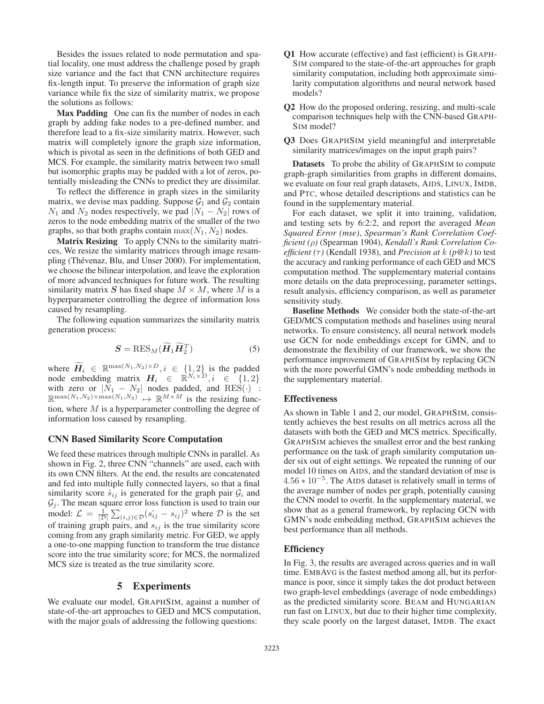Besides the issues related to node permutation and spatial locality, one must address the challenge posed by graph size variance and the fact that CNN architecture requires fix-length input. To preserve the information of graph size variance while fix the size of similarity matrix, we propose the solutions as follows:

Max Padding One can fix the number of nodes in each graph by adding fake nodes to a pre-defined number, and therefore lead to a fix-size similarity matrix. However, such matrix will completely ignore the graph size information, which is pivotal as seen in the definitions of both GED and MCS. For example, the similarity matrix between two small but isomorphic graphs may be padded with a lot of zeros, potentially misleading the CNNs to predict they are dissimilar.

To reflect the difference in graph sizes in the similarity matrix, we devise max padding. Suppose  $G_1$  and  $G_2$  contain  $N_1$  and  $N_2$  nodes respectively, we pad  $|N_1 - N_2|$  rows of zeros to the node embedding matrix of the smaller of the two graphs, so that both graphs contain  $\max(N_1, N_2)$  nodes.

Matrix Resizing To apply CNNs to the similarity matrices, We resize the simlarity matrices through image resampling (Thévenaz, Blu, and Unser 2000). For implementation, we choose the bilinear interpolation, and leave the exploration of more advanced techniques for future work. The resulting similarity matrix S has fixed shape  $M \times M$ , where M is a hyperparameter controlling the degree of information loss caused by resampling.

The following equation summarizes the similarity matrix generation process:

$$
\mathbf{S} = \text{RES}_M(\widetilde{\mathbf{H}}_1 \widetilde{\mathbf{H}}_2^T) \tag{5}
$$

where  $\widetilde{H}_i \in \mathbb{R}^{\max(N_1,N_2) \times D}, i \in \{1,2\}$  is the padded node embedding matrix  $H_i \in \mathbb{R}^{N_i \times D}, i \in \{1, 2\}$ with zero or  $|\tilde{N}_1 - N_2|$  nodes padded, and RES(·) :  $\mathbb{R}^{\max(N_1,N_2)\times\max(N_1,N_2)} \mapsto \mathbb{R}^{M\times M}$  is the resizing function, where  $M$  is a hyperparameter controlling the degree of information loss caused by resampling.

## CNN Based Similarity Score Computation

We feed these matrices through multiple CNNs in parallel. As shown in Fig. 2, three CNN "channels" are used, each with its own CNN filters. At the end, the results are concatenated and fed into multiple fully connected layers, so that a final similarity score  $\hat{s}_{ij}$  is generated for the graph pair  $\mathcal{G}_i$  and  $\mathcal{G}_j$ . The mean square error loss function is used to train our model:  $\mathcal{L} = \frac{1}{|\mathcal{D}|}$  $\sum_{(i,j)\in\mathcal{D}}(s_{ij}^{\hat{i}}-s_{ij})^2$  where  $\mathcal{D}$  is the set of training graph pairs, and  $s_{ij}$  is the true similarity score coming from any graph similarity metric. For GED, we apply a one-to-one mapping function to transform the true distance score into the true similarity score; for MCS, the normalized MCS size is treated as the true similarity score.

### 5 Experiments

We evaluate our model, GRAPHSIM, against a number of state-of-the-art approaches to GED and MCS computation, with the major goals of addressing the following questions:

- Q1 How accurate (effective) and fast (efficient) is GRAPH-SIM compared to the state-of-the-art approaches for graph similarity computation, including both approximate similarity computation algorithms and neural network based models?
- Q2 How do the proposed ordering, resizing, and multi-scale comparison techniques help with the CNN-based GRAPH-SIM model?
- Q3 Does GRAPHSIM yield meaningful and interpretable similarity matrices/images on the input graph pairs?

Datasets To probe the ability of GRAPHSIM to compute graph-graph similarities from graphs in different domains, we evaluate on four real graph datasets, AIDS, LINUX, IMDB, and PTC, whose detailed descriptions and statistics can be found in the supplementary material.

For each dataset, we split it into training, validation, and testing sets by 6:2:2, and report the averaged *Mean Squared Error (mse)*, *Spearman's Rank Correlation Coefficient (*ρ*)* (Spearman 1904), *Kendall's Rank Correlation Coefficient* ( $\tau$ ) (Kendall 1938), and *Precision at*  $k$  ( $p@k$ ) to test the accuracy and ranking performance of each GED and MCS computation method. The supplementary material contains more details on the data preprocessing, parameter settings, result analysis, efficiency comparison, as well as parameter sensitivity study.

Baseline Methods We consider both the state-of-the-art GED/MCS computation methods and baselines using neural networks. To ensure consistency, all neural network models use GCN for node embeddings except for GMN, and to demonstrate the flexibility of our framework, we show the performance improvement of GRAPHSIM by replacing GCN with the more powerful GMN's node embedding methods in the supplementary material.

#### Effectiveness

As shown in Table 1 and 2, our model, GRAPHSIM, consistently achieves the best results on all metrics across all the datasets with both the GED and MCS metrics. Specifically, GRAPHSIM achieves the smallest error and the best ranking performance on the task of graph similarity computation under six out of eight settings. We repeated the running of our model 10 times on AIDS, and the standard deviation of mse is  $4.56 \times 10^{-5}$ . The AIDS dataset is relatively small in terms of the average number of nodes per graph, potentially causing the CNN model to overfit. In the supplementary material, we show that as a general framework, by replacing GCN with GMN's node embedding method, GRAPHSIM achieves the best performance than all methods.

#### **Efficiency**

In Fig. 3, the results are averaged across queries and in wall time. EMBAVG is the fastest method among all, but its performance is poor, since it simply takes the dot product between two graph-level embeddings (average of node embeddings) as the predicted similarity score. BEAM and HUNGARIAN run fast on LINUX, but due to their higher time complexity, they scale poorly on the largest dataset, IMDB. The exact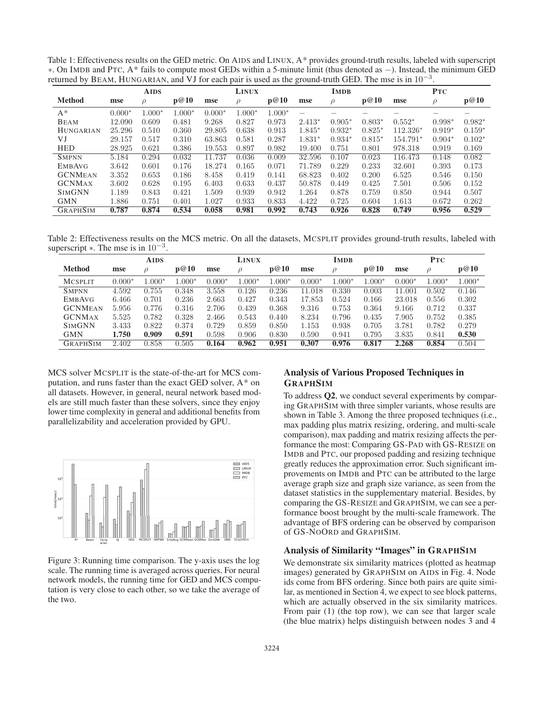Table 1: Effectiveness results on the GED metric. On AIDS and LINUX, A\* provides ground-truth results, labeled with superscript ∗. On IMDB and PTC, A\* fails to compute most GEDs within a 5-minute limit (thus denoted as −). Instead, the minimum GED returned by BEAM, HUNGARIAN, and VJ for each pair is used as the ground-truth GED. The mse is in  $10^{-3}$ .

|                  |          | <b>AIDS</b> |          |          | <b>LINUX</b> |          |                          | <b>IMDB</b> |          |            | <b>PTC</b> |          |
|------------------|----------|-------------|----------|----------|--------------|----------|--------------------------|-------------|----------|------------|------------|----------|
| <b>Method</b>    | mse      | $\rho$      | p@10     | mse      | $\rho$       | p@10     | mse                      | $\rho$      | p@10     | mse        | $\rho$     | p@10     |
| $A^*$            | $0.000*$ | $1.000*$    | $1.000*$ | $0.000*$ | $1.000*$     | $1.000*$ | $\overline{\phantom{m}}$ |             |          |            | -          | -        |
| <b>BEAM</b>      | 12.090   | 0.609       | 0.481    | 9.268    | 0.827        | 0.973    | $2.413*$                 | $0.905*$    | $0.803*$ | $0.552*$   | $0.998*$   | $0.982*$ |
| <b>HUNGARIAN</b> | 25.296   | 0.510       | 0.360    | 29.805   | 0.638        | 0.913    | $1.845*$                 | $0.932*$    | $0.825*$ | $112.326*$ | $0.919*$   | $0.159*$ |
| VJ               | 29.157   | 0.517       | 0.310    | 63.863   | 0.581        | 0.287    | $1.831*$                 | $0.934*$    | $0.815*$ | 154.791*   | $0.904*$   | $0.102*$ |
| <b>HED</b>       | 28.925   | 0.621       | 0.386    | 19.553   | 0.897        | 0.982    | 19.400                   | 0.751       | 0.801    | 978.318    | 0.919      | 0.169    |
| <b>SMPNN</b>     | 5.184    | 0.294       | 0.032    | 11.737   | 0.036        | 0.009    | 32.596                   | 0.107       | 0.023    | 116.473    | 0.148      | 0.082    |
| <b>EMBAVG</b>    | 3.642    | 0.601       | 0.176    | 18.274   | 0.165        | 0.071    | 71.789                   | 0.229       | 0.233    | 32.601     | 0.393      | 0.173    |
| <b>GCNMEAN</b>   | 3.352    | 0.653       | 0.186    | 8.458    | 0.419        | 0.141    | 68.823                   | 0.402       | 0.200    | 6.525      | 0.546      | 0.150    |
| <b>GCNMAX</b>    | 3.602    | 0.628       | 0.195    | 6.403    | 0.633        | 0.437    | 50.878                   | 0.449       | 0.425    | 7.501      | 0.506      | 0.152    |
| <b>SIMGNN</b>    | 1.189    | 0.843       | 0.421    | 1.509    | 0.939        | 0.942    | 1.264                    | 0.878       | 0.759    | 0.850      | 0.944      | 0.507    |
| <b>GMN</b>       | 1.886    | 0.751       | 0.401    | 1.027    | 0.933        | 0.833    | 4.422                    | 0.725       | 0.604    | 1.613      | 0.672      | 0.262    |
| <b>GRAPHSIM</b>  | 0.787    | 0.874       | 0.534    | 0.058    | 0.981        | 0.992    | 0.743                    | 0.926       | 0.828    | 0.749      | 0.956      | 0.529    |

Table 2: Effectiveness results on the MCS metric. On all the datasets, MCSPLIT provides ground-truth results, labeled with superscript  $\ast$ . The mse is in 10<sup>-3</sup>.

|                 |          | <b>AIDS</b> |          |          | <b>LINUX</b> |          |          | <b>IMDB</b> |          |          | <b>PTC</b>    |          |
|-----------------|----------|-------------|----------|----------|--------------|----------|----------|-------------|----------|----------|---------------|----------|
| <b>Method</b>   | mse      |             | p@10     | mse      | ρ            | p@10     | mse      | $\rho$      | p@10     | mse      | $\mathcal{P}$ | p@10     |
| <b>MCSPLIT</b>  | $0.000*$ | $.000*$     | $1.000*$ | $0.000*$ | $1.000*$     | $1.000*$ | $0.000*$ | $1.000*$    | $1.000*$ | $0.000*$ | $1.000*$      | $1.000*$ |
| <b>SMPNN</b>    | 4.592    | 0.755       | 0.348    | 3.558    | 0.126        | 0.236    | 11.018   | 0.330       | 0.003    | 11.001   | 0.502         | 0.146    |
| <b>EMBAVG</b>   | 6.466    | 0.701       | 0.236    | 2.663    | 0.427        | 0.343    | 17.853   | 0.524       | 0.166    | 23.018   | 0.556         | 0.302    |
| <b>GCNMEAN</b>  | 5.956    | 0.776       | 0.316    | 2.706    | 0.439        | 0.368    | 9.316    | 0.753       | 0.364    | 9.166    | 0.712         | 0.337    |
| <b>GCNMAX</b>   | 5.525    | 0.782       | 0.328    | 2.466    | 0.543        | 0.440    | 8.234    | 0.796       | 0.435    | 7.905    | 0.752         | 0.385    |
| <b>SIMGNN</b>   | 3.433    | 0.822       | 0.374    | 0.729    | 0.859        | 0.850    | 1.153    | 0.938       | 0.705    | 3.781    | 0.782         | 0.279    |
| <b>GMN</b>      | 1.750    | 0.909       | 0.591    | 0.598    | 0.906        | 0.830    | 0.590    | 0.941       | 0.795    | 3.835    | 0.841         | 0.530    |
| <b>GRAPHSIM</b> | 2.402    | 0.858       | 0.505    | 0.164    | 0.962        | 0.951    | 0.307    | 0.976       | 0.817    | 2.268    | 0.854         | 0.504    |

MCS solver MCSPLIT is the state-of-the-art for MCS computation, and runs faster than the exact GED solver, A\* on all datasets. However, in general, neural network based models are still much faster than these solvers, since they enjoy lower time complexity in general and additional benefits from parallelizability and acceleration provided by GPU.



Figure 3: Running time comparison. The y-axis uses the log scale. The running time is averaged across queries. For neural network models, the running time for GED and MCS computation is very close to each other, so we take the average of the two.

# Analysis of Various Proposed Techniques in **GRAPHSIM**

To address Q2, we conduct several experiments by comparing GRAPHSIM with three simpler variants, whose results are shown in Table 3. Among the three proposed techniques (i.e., max padding plus matrix resizing, ordering, and multi-scale comparison), max padding and matrix resizing affects the performance the most: Comparing GS-PAD with GS-RESIZE on IMDB and PTC, our proposed padding and resizing technique greatly reduces the approximation error. Such significant improvements on IMDB and PTC can be attributed to the large average graph size and graph size variance, as seen from the dataset statistics in the supplementary material. Besides, by comparing the GS-RESIZE and GRAPHSIM, we can see a performance boost brought by the multi-scale framework. The advantage of BFS ordering can be observed by comparison of GS-NOORD and GRAPHSIM.

## Analysis of Similarity "Images" in GRAPHSIM

We demonstrate six similarity matrices (plotted as heatmap images) generated by GRAPHSIM on AIDS in Fig. 4. Node ids come from BFS ordering. Since both pairs are quite similar, as mentioned in Section 4, we expect to see block patterns, which are actually observed in the six similarity matrices. From pair (1) (the top row), we can see that larger scale (the blue matrix) helps distinguish between nodes 3 and 4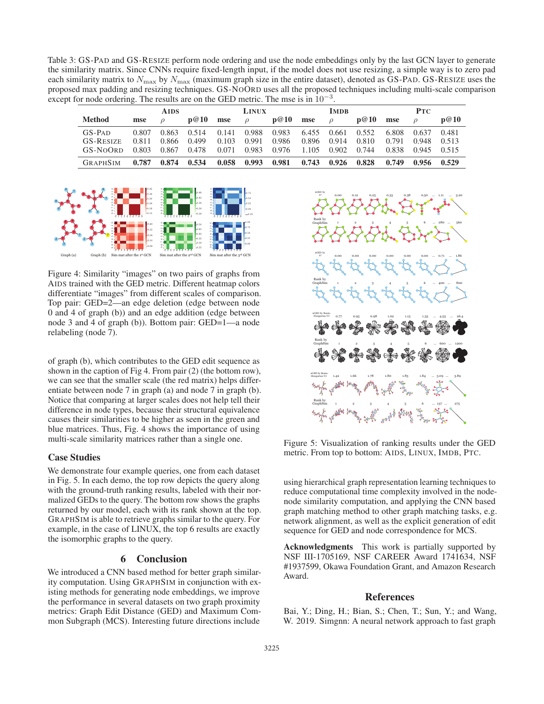Table 3: GS-PAD and GS-RESIZE perform node ordering and use the node embeddings only by the last GCN layer to generate the similarity matrix. Since CNNs require fixed-length input, if the model does not use resizing, a simple way is to zero pad each similarity matrix to  $N_{\text{max}}$  by  $N_{\text{max}}$  (maximum graph size in the entire dataset), denoted as GS-PAD. GS-RESIZE uses the proposed max padding and resizing techniques. GS-NOORD uses all the proposed techniques including multi-scale comparison except for node ordering. The results are on the GED metric. The mse is in  $10^{-3}$ .

|                  |       | <b>AIDS</b> |       |       | <b>LINUX</b> |                         |       | <b>IMDB</b>   |       |       | <b>PTC</b> |       |
|------------------|-------|-------------|-------|-------|--------------|-------------------------|-------|---------------|-------|-------|------------|-------|
| <b>Method</b>    | mse   |             | p@10  | mse   |              | p@10                    | mse   | $\mathcal{D}$ | p@10  | mse   |            | p@10  |
| $GS-PAD$         | 0.807 | 0.863       | 0.514 | 0.141 | 0.988        | 0.983 6.455 0.661 0.552 |       |               |       | 6.808 | 0.637      | 0.481 |
| <b>GS-RESIZE</b> | 0.811 | 0.866       | 0.499 | 0.103 | 0.991        | 0.986                   | 0.896 | 0.914         | 0.810 | 0.791 | 0.948      | 0.513 |
| GS-NOORD         | 0.803 | 0.867       | 0.478 | 0.071 |              | 0.983 0.976 1.105 0.902 |       |               | 0.744 | 0.838 | 0.945      | 0.515 |
| <b>GRAPHSIM</b>  | 0.787 | 0.874       | 0.534 | 0.058 | 0.993        | 0.981                   | 0.743 | 0.926         | 0.828 | 0.749 | 0.956      | 0.529 |



Figure 4: Similarity "images" on two pairs of graphs from AIDS trained with the GED metric. Different heatmap colors differentiate "images" from different scales of comparison. Top pair: GED=2—an edge deletion (edge between node 0 and 4 of graph (b)) and an edge addition (edge between node 3 and 4 of graph (b)). Bottom pair: GED=1—a node relabeling (node 7).

of graph (b), which contributes to the GED edit sequence as shown in the caption of Fig 4. From pair (2) (the bottom row), we can see that the smaller scale (the red matrix) helps differentiate between node 7 in graph (a) and node 7 in graph (b). Notice that comparing at larger scales does not help tell their difference in node types, because their structural equivalence causes their similarities to be higher as seen in the green and blue matrices. Thus, Fig. 4 shows the importance of using multi-scale similarity matrices rather than a single one.

#### Case Studies

We demonstrate four example queries, one from each dataset in Fig. 5. In each demo, the top row depicts the query along with the ground-truth ranking results, labeled with their normalized GEDs to the query. The bottom row shows the graphs returned by our model, each with its rank shown at the top. GRAPHSIM is able to retrieve graphs similar to the query. For example, in the case of LINUX, the top 6 results are exactly the isomorphic graphs to the query.

## 6 Conclusion

We introduced a CNN based method for better graph similarity computation. Using GRAPHSIM in conjunction with existing methods for generating node embeddings, we improve the performance in several datasets on two graph proximity metrics: Graph Edit Distance (GED) and Maximum Common Subgraph (MCS). Interesting future directions include



Figure 5: Visualization of ranking results under the GED metric. From top to bottom: AIDS, LINUX, IMDB, PTC.

using hierarchical graph representation learning techniques to reduce computational time complexity involved in the nodenode similarity computation, and applying the CNN based graph matching method to other graph matching tasks, e.g. network alignment, as well as the explicit generation of edit sequence for GED and node correspondence for MCS.

Acknowledgments This work is partially supported by NSF III-1705169, NSF CAREER Award 1741634, NSF #1937599, Okawa Foundation Grant, and Amazon Research Award.

### References

Bai, Y.; Ding, H.; Bian, S.; Chen, T.; Sun, Y.; and Wang, W. 2019. Simgnn: A neural network approach to fast graph